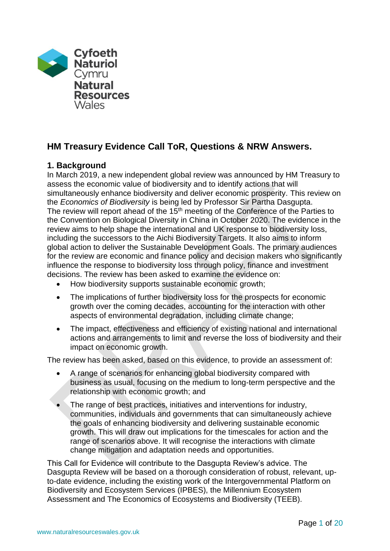

# **HM Treasury Evidence Call ToR, Questions & NRW Answers.**

# **1. Background**

In March 2019, a new independent global review was announced by HM Treasury to assess the economic value of biodiversity and to identify actions that will simultaneously enhance biodiversity and deliver economic prosperity. This review on the *Economics of Biodiversity* is being led by Professor Sir Partha Dasgupta. The review will report ahead of the  $15<sup>th</sup>$  meeting of the Conference of the Parties to the Convention on Biological Diversity in China in October 2020. The evidence in the review aims to help shape the international and UK response to biodiversity loss, including the successors to the Aichi Biodiversity Targets. It also aims to inform global action to deliver the Sustainable Development Goals. The primary audiences for the review are economic and finance policy and decision makers who significantly influence the response to biodiversity loss through policy, finance and investment decisions. The review has been asked to examine the evidence on:

- How biodiversity supports sustainable economic growth;
- The implications of further biodiversity loss for the prospects for economic growth over the coming decades, accounting for the interaction with other aspects of environmental degradation, including climate change;
- The impact, effectiveness and efficiency of existing national and international actions and arrangements to limit and reverse the loss of biodiversity and their impact on economic growth.

The review has been asked, based on this evidence, to provide an assessment of:

- A range of scenarios for enhancing global biodiversity compared with business as usual, focusing on the medium to long-term perspective and the relationship with economic growth; and
- The range of best practices, initiatives and interventions for industry, communities, individuals and governments that can simultaneously achieve the goals of enhancing biodiversity and delivering sustainable economic growth. This will draw out implications for the timescales for action and the range of scenarios above. It will recognise the interactions with climate change mitigation and adaptation needs and opportunities.

This Call for Evidence will contribute to the Dasgupta Review's advice. The Dasgupta Review will be based on a thorough consideration of robust, relevant, upto-date evidence, including the existing work of the Intergovernmental Platform on Biodiversity and Ecosystem Services (IPBES), the Millennium Ecosystem Assessment and The Economics of Ecosystems and Biodiversity (TEEB).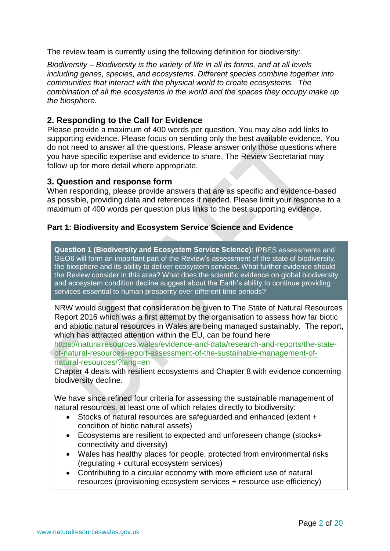The review team is currently using the following definition for biodiversity:

*Biodiversity – Biodiversity is the variety of life in all its forms, and at all levels including genes, species, and ecosystems. Different species combine together into communities that interact with the physical world to create ecosystems. The combination of all the ecosystems in the world and the spaces they occupy make up the biosphere.*

# **2. Responding to the Call for Evidence**

Please provide a maximum of 400 words per question. You may also add links to supporting evidence. Please focus on sending only the best available evidence. You do not need to answer all the questions. Please answer only those questions where you have specific expertise and evidence to share. The Review Secretariat may follow up for more detail where appropriate.

# **3. Question and response form**

When responding, please provide answers that are as specific and evidence-based as possible, providing data and references if needed. Please limit your response to a maximum of 400 words per question plus links to the best supporting evidence.

# **Part 1: Biodiversity and Ecosystem Service Science and Evidence**

**Question 1 (Biodiversity and Ecosystem Service Science):** IPBES assessments and GEO6 will form an important part of the Review's assessment of the state of biodiversity, the biosphere and its ability to deliver ecosystem services. What further evidence should the Review consider in this area? What does the scientific evidence on global biodiversity and ecosystem condition decline suggest about the Earth's ability to continue providing services essential to human prosperity over different time periods?

NRW would suggest that consideration be given to The State of Natural Resources Report 2016 which was a first attempt by the organisation to assess how far biotic and abiotic natural resources in Wales are being managed sustainably. The report, which has attracted attention within the EU, can be found here

[https://naturalresources.wales/evidence-and-data/research-and-reports/the-state](https://naturalresources.wales/evidence-and-data/research-and-reports/the-state-of-natural-resources-report-assessment-of-the-sustainable-management-of-natural-resources/?lang=en)[of-natural-resources-report-assessment-of-the-sustainable-management-of](https://naturalresources.wales/evidence-and-data/research-and-reports/the-state-of-natural-resources-report-assessment-of-the-sustainable-management-of-natural-resources/?lang=en)[natural-resources/?lang=en](https://naturalresources.wales/evidence-and-data/research-and-reports/the-state-of-natural-resources-report-assessment-of-the-sustainable-management-of-natural-resources/?lang=en)

Chapter 4 deals with resilient ecosystems and Chapter 8 with evidence concerning biodiversity decline.

We have since refined four criteria for assessing the sustainable management of natural resources, at least one of which relates directly to biodiversity:

- Stocks of natural resources are safeguarded and enhanced (extent + condition of biotic natural assets)
- Ecosystems are resilient to expected and unforeseen change (stocks+ connectivity and diversity)
- Wales has healthy places for people, protected from environmental risks (regulating + cultural ecosystem services)
- Contributing to a circular economy with more efficient use of natural resources (provisioning ecosystem services + resource use efficiency)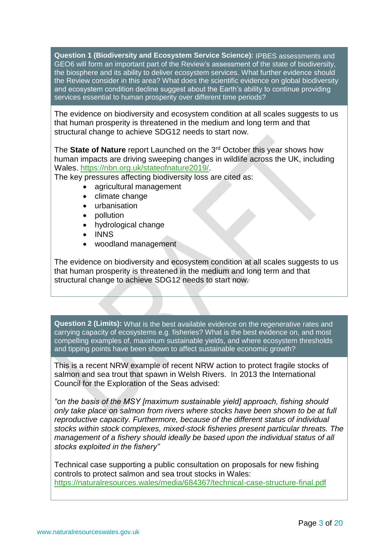**Question 1 (Biodiversity and Ecosystem Service Science):** IPBES assessments and GEO6 will form an important part of the Review's assessment of the state of biodiversity, the biosphere and its ability to deliver ecosystem services. What further evidence should the Review consider in this area? What does the scientific evidence on global biodiversity and ecosystem condition decline suggest about the Earth's ability to continue providing services essential to human prosperity over different time periods?

The evidence on biodiversity and ecosystem condition at all scales suggests to us that human prosperity is threatened in the medium and long term and that structural change to achieve SDG12 needs to start now.

The **State of Nature** report Launched on the 3rd October this year shows how human impacts are driving sweeping changes in wildlife across the UK, including Wales. [https://nbn.org.uk/stateofnature2019/.](https://nbn.org.uk/stateofnature2019/)

The key pressures affecting biodiversity loss are cited as:

- agricultural management
- climate change
- urbanisation
- pollution
- hydrological change
- INNS
- woodland management

The evidence on biodiversity and ecosystem condition at all scales suggests to us that human prosperity is threatened in the medium and long term and that structural change to achieve SDG12 needs to start now.

**Question 2 (Limits):** What is the best available evidence on the regenerative rates and carrying capacity of ecosystems e.g. fisheries? What is the best evidence on, and most compelling examples of, maximum sustainable yields, and where ecosystem thresholds and tipping points have been shown to affect sustainable economic growth?

This is a recent NRW example of recent NRW action to protect fragile stocks of salmon and sea trout that spawn in Welsh Rivers. In 2013 the International Council for the Exploration of the Seas advised:

*"on the basis of the MSY [maximum sustainable yield] approach, fishing should only take place on salmon from rivers where stocks have been shown to be at full reproductive capacity. Furthermore, because of the different status of individual stocks within stock complexes, mixed-stock fisheries present particular threats. The management of a fishery should ideally be based upon the individual status of all stocks exploited in the fishery"*

Technical case supporting a public consultation on proposals for new fishing controls to protect salmon and sea trout stocks in Wales: <https://naturalresources.wales/media/684367/technical-case-structure-final.pdf>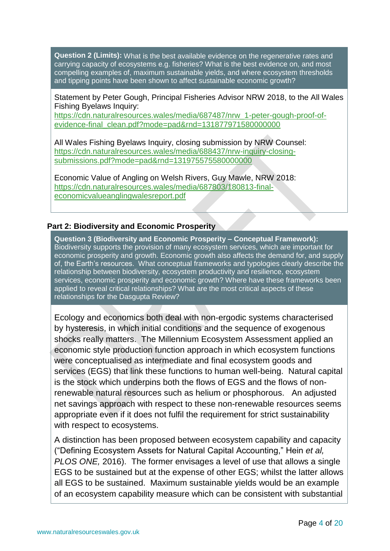**Question 2 (Limits):** What is the best available evidence on the regenerative rates and carrying capacity of ecosystems e.g. fisheries? What is the best evidence on, and most compelling examples of, maximum sustainable yields, and where ecosystem thresholds and tipping points have been shown to affect sustainable economic growth?

Statement by Peter Gough, Principal Fisheries Advisor NRW 2018, to the All Wales Fishing Byelaws Inquiry:

[https://cdn.naturalresources.wales/media/687487/nrw\\_1-peter-gough-proof-of](https://cdn.naturalresources.wales/media/687487/nrw_1-peter-gough-proof-of-evidence-final_clean.pdf?mode=pad&rnd=131877971580000000)[evidence-final\\_clean.pdf?mode=pad&rnd=131877971580000000](https://cdn.naturalresources.wales/media/687487/nrw_1-peter-gough-proof-of-evidence-final_clean.pdf?mode=pad&rnd=131877971580000000)

All Wales Fishing Byelaws Inquiry, closing submission by NRW Counsel: [https://cdn.naturalresources.wales/media/688437/nrw-inquiry-closing](https://cdn.naturalresources.wales/media/688437/nrw-inquiry-closing-submissions.pdf?mode=pad&rnd=131975575580000000)[submissions.pdf?mode=pad&rnd=131975575580000000](https://cdn.naturalresources.wales/media/688437/nrw-inquiry-closing-submissions.pdf?mode=pad&rnd=131975575580000000)

Economic Value of Angling on Welsh Rivers, Guy Mawle, NRW 2018: [https://cdn.naturalresources.wales/media/687803/180813-final](https://cdn.naturalresources.wales/media/687803/180813-final-economicvalueanglingwalesreport.pdf)[economicvalueanglingwalesreport.pdf](https://cdn.naturalresources.wales/media/687803/180813-final-economicvalueanglingwalesreport.pdf)

# **Part 2: Biodiversity and Economic Prosperity**

**Question 3 (Biodiversity and Economic Prosperity – Conceptual Framework):** Biodiversity supports the provision of many ecosystem services, which are important for economic prosperity and growth. Economic growth also affects the demand for, and supply of, the Earth's resources. What conceptual frameworks and typologies clearly describe the relationship between biodiversity, ecosystem productivity and resilience, ecosystem services, economic prosperity and economic growth? Where have these frameworks been applied to reveal critical relationships? What are the most critical aspects of these relationships for the Dasgupta Review?

Ecology and economics both deal with non-ergodic systems characterised by hysteresis, in which initial conditions and the sequence of exogenous shocks really matters. The Millennium Ecosystem Assessment applied an economic style production function approach in which ecosystem functions were conceptualised as intermediate and final ecosystem goods and services (EGS) that link these functions to human well-being. Natural capital is the stock which underpins both the flows of EGS and the flows of nonrenewable natural resources such as helium or phosphorous. An adjusted net savings approach with respect to these non-renewable resources seems appropriate even if it does not fulfil the requirement for strict sustainability with respect to ecosystems.

A distinction has been proposed between ecosystem capability and capacity ("Defining Ecosystem Assets for Natural Capital Accounting," Hein *et al, PLOS ONE,* 2016). The former envisages a level of use that allows a single EGS to be sustained but at the expense of other EGS; whilst the latter allows all EGS to be sustained. Maximum sustainable yields would be an example of an ecosystem capability measure which can be consistent with substantial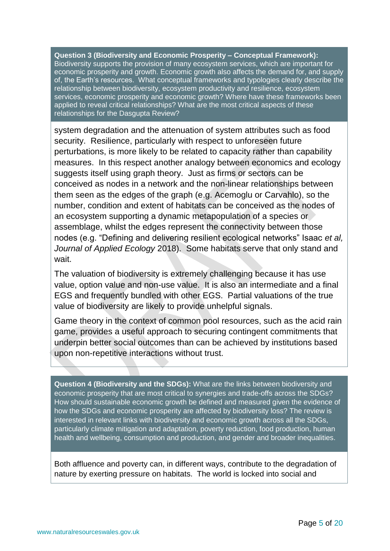**Question 3 (Biodiversity and Economic Prosperity – Conceptual Framework):** Biodiversity supports the provision of many ecosystem services, which are important for economic prosperity and growth. Economic growth also affects the demand for, and supply of, the Earth's resources. What conceptual frameworks and typologies clearly describe the relationship between biodiversity, ecosystem productivity and resilience, ecosystem services, economic prosperity and economic growth? Where have these frameworks been applied to reveal critical relationships? What are the most critical aspects of these relationships for the Dasgupta Review?

system degradation and the attenuation of system attributes such as food security. Resilience, particularly with respect to unforeseen future perturbations, is more likely to be related to capacity rather than capability measures. In this respect another analogy between economics and ecology suggests itself using graph theory. Just as firms or sectors can be conceived as nodes in a network and the non-linear relationships between them seen as the edges of the graph (e.g. Acemoglu or Carvahlo), so the number, condition and extent of habitats can be conceived as the nodes of an ecosystem supporting a dynamic metapopulation of a species or assemblage, whilst the edges represent the connectivity between those nodes (e.g. "Defining and delivering resilient ecological networks" Isaac *et al, Journal of Applied Ecology* 2018). Some habitats serve that only stand and wait.

The valuation of biodiversity is extremely challenging because it has use value, option value and non-use value. It is also an intermediate and a final EGS and frequently bundled with other EGS. Partial valuations of the true value of biodiversity are likely to provide unhelpful signals.

Game theory in the context of common pool resources, such as the acid rain game, provides a useful approach to securing contingent commitments that underpin better social outcomes than can be achieved by institutions based upon non-repetitive interactions without trust.

**Question 4 (Biodiversity and the SDGs):** What are the links between biodiversity and economic prosperity that are most critical to synergies and trade-offs across the SDGs? How should sustainable economic growth be defined and measured given the evidence of how the SDGs and economic prosperity are affected by biodiversity loss? The review is interested in relevant links with biodiversity and economic growth across all the SDGs, particularly climate mitigation and adaptation, poverty reduction, food production, human health and wellbeing, consumption and production, and gender and broader inequalities.

Both affluence and poverty can, in different ways, contribute to the degradation of nature by exerting pressure on habitats. The world is locked into social and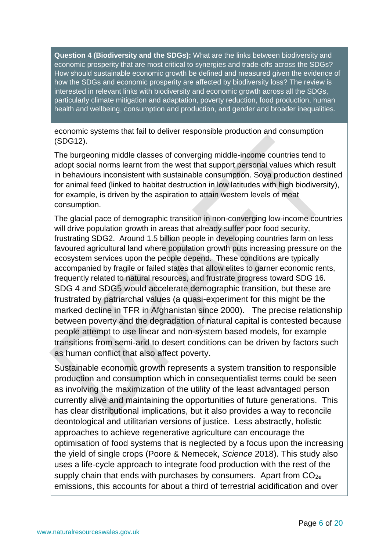**Question 4 (Biodiversity and the SDGs):** What are the links between biodiversity and economic prosperity that are most critical to synergies and trade-offs across the SDGs? How should sustainable economic growth be defined and measured given the evidence of how the SDGs and economic prosperity are affected by biodiversity loss? The review is interested in relevant links with biodiversity and economic growth across all the SDGs, particularly climate mitigation and adaptation, poverty reduction, food production, human health and wellbeing, consumption and production, and gender and broader inequalities.

economic systems that fail to deliver responsible production and consumption (SDG12).

The burgeoning middle classes of converging middle-income countries tend to adopt social norms learnt from the west that support personal values which result in behaviours inconsistent with sustainable consumption. Soya production destined for animal feed (linked to habitat destruction in low latitudes with high biodiversity), for example, is driven by the aspiration to attain western levels of meat consumption.

The glacial pace of demographic transition in non-converging low-income countries will drive population growth in areas that already suffer poor food security, frustrating SDG2. Around 1.5 billion people in developing countries farm on less favoured agricultural land where population growth puts increasing pressure on the ecosystem services upon the people depend. These conditions are typically accompanied by fragile or failed states that allow elites to garner economic rents, frequently related to natural resources, and frustrate progress toward SDG 16. SDG 4 and SDG5 would accelerate demographic transition, but these are frustrated by patriarchal values (a quasi-experiment for this might be the marked decline in TFR in Afghanistan since 2000). The precise relationship between poverty and the degradation of natural capital is contested because people attempt to use linear and non-system based models, for example transitions from semi-arid to desert conditions can be driven by factors such as human conflict that also affect poverty.

Sustainable economic growth represents a system transition to responsible production and consumption which in consequentialist terms could be seen as involving the maximization of the utility of the least advantaged person currently alive and maintaining the opportunities of future generations. This has clear distributional implications, but it also provides a way to reconcile deontological and utilitarian versions of justice. Less abstractly, holistic approaches to achieve regenerative agriculture can encourage the optimisation of food systems that is neglected by a focus upon the increasing the yield of single crops (Poore & Nemecek, *Science* 2018). This study also uses a life-cycle approach to integrate food production with the rest of the supply chain that ends with purchases by consumers. Apart from CO<sub>2e</sub> emissions, this accounts for about a third of terrestrial acidification and over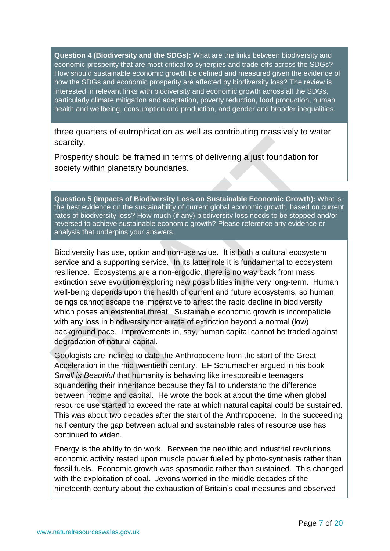**Question 4 (Biodiversity and the SDGs):** What are the links between biodiversity and economic prosperity that are most critical to synergies and trade-offs across the SDGs? How should sustainable economic growth be defined and measured given the evidence of how the SDGs and economic prosperity are affected by biodiversity loss? The review is interested in relevant links with biodiversity and economic growth across all the SDGs, particularly climate mitigation and adaptation, poverty reduction, food production, human health and wellbeing, consumption and production, and gender and broader inequalities.

three quarters of eutrophication as well as contributing massively to water scarcity.

Prosperity should be framed in terms of delivering a just foundation for society within planetary boundaries.

**Question 5 (Impacts of Biodiversity Loss on Sustainable Economic Growth):** What is the best evidence on the sustainability of current global economic growth, based on current rates of biodiversity loss? How much (if any) biodiversity loss needs to be stopped and/or reversed to achieve sustainable economic growth? Please reference any evidence or analysis that underpins your answers.

Biodiversity has use, option and non-use value. It is both a cultural ecosystem service and a supporting service. In its latter role it is fundamental to ecosystem resilience. Ecosystems are a non-ergodic, there is no way back from mass extinction save evolution exploring new possibilities in the very long-term. Human well-being depends upon the health of current and future ecosystems, so human beings cannot escape the imperative to arrest the rapid decline in biodiversity which poses an existential threat. Sustainable economic growth is incompatible with any loss in biodiversity nor a rate of extinction beyond a normal (low) background pace. Improvements in, say, human capital cannot be traded against degradation of natural capital.

Geologists are inclined to date the Anthropocene from the start of the Great Acceleration in the mid twentieth century. EF Schumacher argued in his book *Small is Beautiful* that humanity is behaving like irresponsible teenagers squandering their inheritance because they fail to understand the difference between income and capital. He wrote the book at about the time when global resource use started to exceed the rate at which natural capital could be sustained. This was about two decades after the start of the Anthropocene. In the succeeding half century the gap between actual and sustainable rates of resource use has continued to widen.

Energy is the ability to do work. Between the neolithic and industrial revolutions economic activity rested upon muscle power fuelled by photo-synthesis rather than fossil fuels. Economic growth was spasmodic rather than sustained. This changed with the exploitation of coal. Jevons worried in the middle decades of the nineteenth century about the exhaustion of Britain's coal measures and observed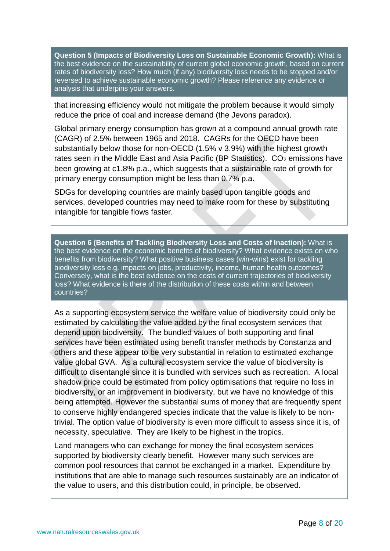**Question 5 (Impacts of Biodiversity Loss on Sustainable Economic Growth):** What is the best evidence on the sustainability of current global economic growth, based on current rates of biodiversity loss? How much (if any) biodiversity loss needs to be stopped and/or reversed to achieve sustainable economic growth? Please reference any evidence or analysis that underpins your answers.

that increasing efficiency would not mitigate the problem because it would simply reduce the price of coal and increase demand (the Jevons paradox).

Global primary energy consumption has grown at a compound annual growth rate (CAGR) of 2.5% between 1965 and 2018. CAGRs for the OECD have been substantially below those for non-OECD (1.5% v 3.9%) with the highest growth rates seen in the Middle East and Asia Pacific (BP Statistics).  $CO<sub>2</sub>$  emissions have been growing at c1.8% p.a., which suggests that a sustainable rate of growth for primary energy consumption might be less than 0.7% p.a.

SDGs for developing countries are mainly based upon tangible goods and services, developed countries may need to make room for these by substituting intangible for tangible flows faster.

**Question 6 (Benefits of Tackling Biodiversity Loss and Costs of Inaction):** What is the best evidence on the economic benefits of biodiversity? What evidence exists on who benefits from biodiversity? What positive business cases (win-wins) exist for tackling biodiversity loss e.g. impacts on jobs, productivity, income, human health outcomes? Conversely, what is the best evidence on the costs of current trajectories of biodiversity loss? What evidence is there of the distribution of these costs within and between countries?

As a supporting ecosystem service the welfare value of biodiversity could only be estimated by calculating the value added by the final ecosystem services that depend upon biodiversity. The bundled values of both supporting and final services have been estimated using benefit transfer methods by Constanza and others and these appear to be very substantial in relation to estimated exchange value global GVA. As a cultural ecosystem service the value of biodiversity is difficult to disentangle since it is bundled with services such as recreation. A local shadow price could be estimated from policy optimisations that require no loss in biodiversity, or an improvement in biodiversity, but we have no knowledge of this being attempted. However the substantial sums of money that are frequently spent to conserve highly endangered species indicate that the value is likely to be nontrivial. The option value of biodiversity is even more difficult to assess since it is, of necessity, speculative. They are likely to be highest in the tropics.

Land managers who can exchange for money the final ecosystem services supported by biodiversity clearly benefit. However many such services are common pool resources that cannot be exchanged in a market. Expenditure by institutions that are able to manage such resources sustainably are an indicator of the value to users, and this distribution could, in principle, be observed.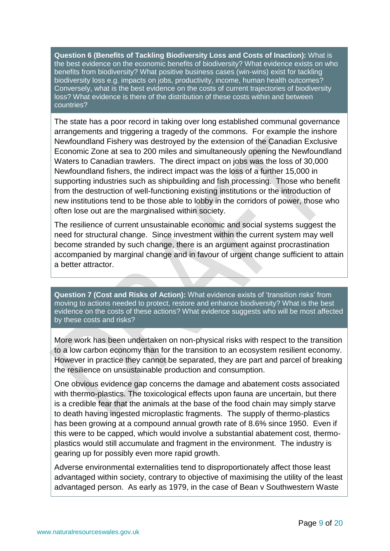**Question 6 (Benefits of Tackling Biodiversity Loss and Costs of Inaction):** What is the best evidence on the economic benefits of biodiversity? What evidence exists on who benefits from biodiversity? What positive business cases (win-wins) exist for tackling biodiversity loss e.g. impacts on jobs, productivity, income, human health outcomes? Conversely, what is the best evidence on the costs of current trajectories of biodiversity loss? What evidence is there of the distribution of these costs within and between countries?

The state has a poor record in taking over long established communal governance arrangements and triggering a tragedy of the commons. For example the inshore Newfoundland Fishery was destroyed by the extension of the Canadian Exclusive Economic Zone at sea to 200 miles and simultaneously opening the Newfoundland Waters to Canadian trawlers. The direct impact on jobs was the loss of 30,000 Newfoundland fishers, the indirect impact was the loss of a further 15,000 in supporting industries such as shipbuilding and fish processing. Those who benefit from the destruction of well-functioning existing institutions or the introduction of new institutions tend to be those able to lobby in the corridors of power, those who often lose out are the marginalised within society.

The resilience of current unsustainable economic and social systems suggest the need for structural change. Since investment within the current system may well become stranded by such change, there is an argument against procrastination accompanied by marginal change and in favour of urgent change sufficient to attain a better attractor.

**Question 7 (Cost and Risks of Action):** What evidence exists of 'transition risks' from moving to actions needed to protect, restore and enhance biodiversity? What is the best evidence on the costs of these actions? What evidence suggests who will be most affected by these costs and risks?

More work has been undertaken on non-physical risks with respect to the transition to a low carbon economy than for the transition to an ecosystem resilient economy. However in practice they cannot be separated, they are part and parcel of breaking the resilience on unsustainable production and consumption.

One obvious evidence gap concerns the damage and abatement costs associated with thermo-plastics. The toxicological effects upon fauna are uncertain, but there is a credible fear that the animals at the base of the food chain may simply starve to death having ingested microplastic fragments. The supply of thermo-plastics has been growing at a compound annual growth rate of 8.6% since 1950. Even if this were to be capped, which would involve a substantial abatement cost, thermoplastics would still accumulate and fragment in the environment. The industry is gearing up for possibly even more rapid growth.

Adverse environmental externalities tend to disproportionately affect those least advantaged within society, contrary to objective of maximising the utility of the least advantaged person. As early as 1979, in the case of Bean v Southwestern Waste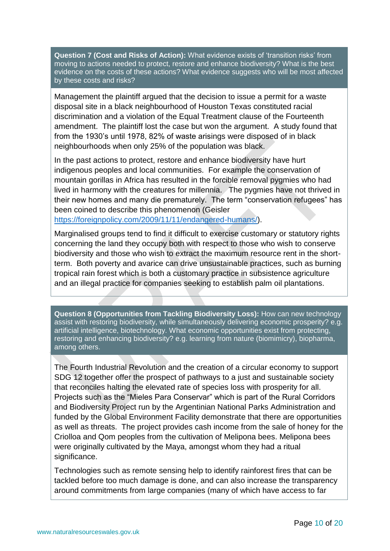**Question 7 (Cost and Risks of Action):** What evidence exists of 'transition risks' from moving to actions needed to protect, restore and enhance biodiversity? What is the best evidence on the costs of these actions? What evidence suggests who will be most affected by these costs and risks?

Management the plaintiff argued that the decision to issue a permit for a waste disposal site in a black neighbourhood of Houston Texas constituted racial discrimination and a violation of the Equal Treatment clause of the Fourteenth amendment. The plaintiff lost the case but won the argument. A study found that from the 1930's until 1978, 82% of waste arisings were disposed of in black neighbourhoods when only 25% of the population was black.

In the past actions to protect, restore and enhance biodiversity have hurt indigenous peoples and local communities. For example the conservation of mountain gorillas in Africa has resulted in the forcible removal pygmies who had lived in harmony with the creatures for millennia. The pygmies have not thrived in their new homes and many die prematurely. The term "conservation refugees" has been coined to describe this phenomenon (Geisler [https://foreignpolicy.com/2009/11/11/endangered-humans/\)](https://foreignpolicy.com/2009/11/11/endangered-humans/).

Marginalised groups tend to find it difficult to exercise customary or statutory rights concerning the land they occupy both with respect to those who wish to conserve biodiversity and those who wish to extract the maximum resource rent in the shortterm. Both poverty and avarice can drive unsustainable practices, such as burning tropical rain forest which is both a customary practice in subsistence agriculture and an illegal practice for companies seeking to establish palm oil plantations.

**Question 8 (Opportunities from Tackling Biodiversity Loss):** How can new technology assist with restoring biodiversity, while simultaneously delivering economic prosperity? e.g. artificial intelligence, biotechnology. What economic opportunities exist from protecting, restoring and enhancing biodiversity? e.g. learning from nature (biomimicry), biopharma, among others.

The Fourth Industrial Revolution and the creation of a circular economy to support SDG 12 together offer the prospect of pathways to a just and sustainable society that reconciles halting the elevated rate of species loss with prosperity for all. Projects such as the "Mieles Para Conservar" which is part of the Rural Corridors and Biodiversity Project run by the Argentinian National Parks Administration and funded by the Global Environment Facility demonstrate that there are opportunities as well as threats. The project provides cash income from the sale of honey for the Criolloa and Qom peoples from the cultivation of Melipona bees. Melipona bees were originally cultivated by the Maya, amongst whom they had a ritual significance.

Technologies such as remote sensing help to identify rainforest fires that can be tackled before too much damage is done, and can also increase the transparency around commitments from large companies (many of which have access to far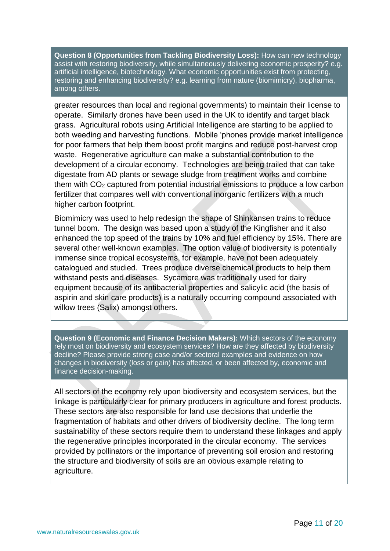**Question 8 (Opportunities from Tackling Biodiversity Loss):** How can new technology assist with restoring biodiversity, while simultaneously delivering economic prosperity? e.g. artificial intelligence, biotechnology. What economic opportunities exist from protecting, restoring and enhancing biodiversity? e.g. learning from nature (biomimicry), biopharma, among others.

greater resources than local and regional governments) to maintain their license to operate. Similarly drones have been used in the UK to identify and target black grass. Agricultural robots using Artificial Intelligence are starting to be applied to both weeding and harvesting functions. Mobile 'phones provide market intelligence for poor farmers that help them boost profit margins and reduce post-harvest crop waste. Regenerative agriculture can make a substantial contribution to the development of a circular economy. Technologies are being trailed that can take digestate from AD plants or sewage sludge from treatment works and combine them with CO<sup>2</sup> captured from potential industrial emissions to produce a low carbon fertilizer that compares well with conventional inorganic fertilizers with a much higher carbon footprint.

Biomimicry was used to help redesign the shape of Shinkansen trains to reduce tunnel boom. The design was based upon a study of the Kingfisher and it also enhanced the top speed of the trains by 10% and fuel efficiency by 15%. There are several other well-known examples. The option value of biodiversity is potentially immense since tropical ecosystems, for example, have not been adequately catalogued and studied. Trees produce diverse chemical products to help them withstand pests and diseases. Sycamore was traditionally used for dairy equipment because of its antibacterial properties and salicylic acid (the basis of aspirin and skin care products) is a naturally occurring compound associated with willow trees (Salix) amongst others.

**Question 9 (Economic and Finance Decision Makers):** Which sectors of the economy rely most on biodiversity and ecosystem services? How are they affected by biodiversity decline? Please provide strong case and/or sectoral examples and evidence on how changes in biodiversity (loss or gain) has affected, or been affected by, economic and finance decision-making.

All sectors of the economy rely upon biodiversity and ecosystem services, but the linkage is particularly clear for primary producers in agriculture and forest products. These sectors are also responsible for land use decisions that underlie the fragmentation of habitats and other drivers of biodiversity decline. The long term sustainability of these sectors require them to understand these linkages and apply the regenerative principles incorporated in the circular economy. The services provided by pollinators or the importance of preventing soil erosion and restoring the structure and biodiversity of soils are an obvious example relating to agriculture.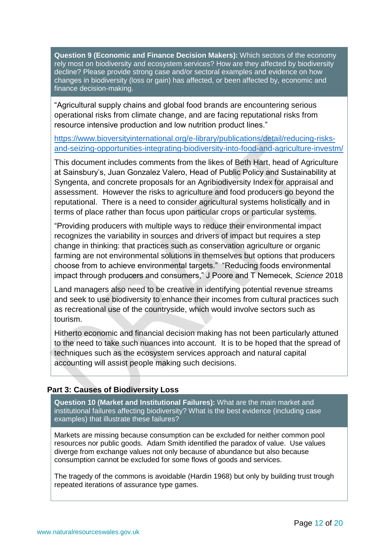**Question 9 (Economic and Finance Decision Makers):** Which sectors of the economy rely most on biodiversity and ecosystem services? How are they affected by biodiversity decline? Please provide strong case and/or sectoral examples and evidence on how changes in biodiversity (loss or gain) has affected, or been affected by, economic and finance decision-making.

"Agricultural supply chains and global food brands are encountering serious operational risks from climate change, and are facing reputational risks from resource intensive production and low nutrition product lines."

[https://www.bioversityinternational.org/e-library/publications/detail/reducing-risks](https://www.bioversityinternational.org/e-library/publications/detail/reducing-risks-and-seizing-opportunities-integrating-biodiversity-into-food-and-agriculture-investm/)[and-seizing-opportunities-integrating-biodiversity-into-food-and-agriculture-investm/](https://www.bioversityinternational.org/e-library/publications/detail/reducing-risks-and-seizing-opportunities-integrating-biodiversity-into-food-and-agriculture-investm/)

This document includes comments from the likes of Beth Hart, head of Agriculture at Sainsbury's, Juan Gonzalez Valero, Head of Public Policy and Sustainability at Syngenta, and concrete proposals for an Agribiodiversity Index for appraisal and assessment. However the risks to agriculture and food producers go beyond the reputational. There is a need to consider agricultural systems holistically and in terms of place rather than focus upon particular crops or particular systems.

"Providing producers with multiple ways to reduce their environmental impact recognizes the variability in sources and drivers of impact but requires a step change in thinking: that practices such as conservation agriculture or organic farming are not environmental solutions in themselves but options that producers choose from to achieve environmental targets." "Reducing foods environmental impact through producers and consumers," J Poore and T Nemecek, *Science* 2018

Land managers also need to be creative in identifying potential revenue streams and seek to use biodiversity to enhance their incomes from cultural practices such as recreational use of the countryside, which would involve sectors such as tourism.

Hitherto economic and financial decision making has not been particularly attuned to the need to take such nuances into account. It is to be hoped that the spread of techniques such as the ecosystem services approach and natural capital accounting will assist people making such decisions.

# **Part 3: Causes of Biodiversity Loss**

**Question 10 (Market and Institutional Failures):** What are the main market and institutional failures affecting biodiversity? What is the best evidence (including case examples) that illustrate these failures?

Markets are missing because consumption can be excluded for neither common pool resources nor public goods. Adam Smith identified the paradox of value. Use values diverge from exchange values not only because of abundance but also because consumption cannot be excluded for some flows of goods and services.

The tragedy of the commons is avoidable (Hardin 1968) but only by building trust trough repeated iterations of assurance type games.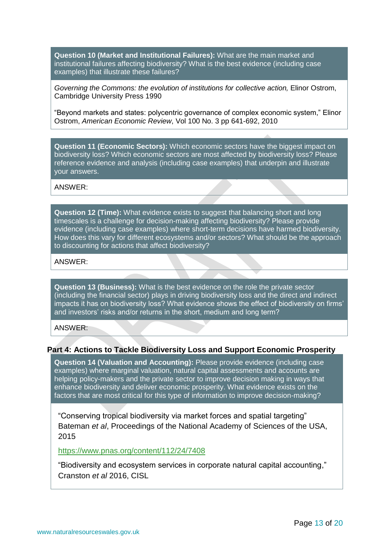**Question 10 (Market and Institutional Failures):** What are the main market and institutional failures affecting biodiversity? What is the best evidence (including case examples) that illustrate these failures?

*Governing the Commons: the evolution of institutions for collective action,* Elinor Ostrom, Cambridge University Press 1990

"Beyond markets and states: polycentric governance of complex economic system," Elinor Ostrom, *American Economic Review*, Vol 100 No. 3 pp 641-692, 2010

**Question 11 (Economic Sectors):** Which economic sectors have the biggest impact on biodiversity loss? Which economic sectors are most affected by biodiversity loss? Please reference evidence and analysis (including case examples) that underpin and illustrate your answers.

ANSWER:

**Question 12 (Time):** What evidence exists to suggest that balancing short and long timescales is a challenge for decision-making affecting biodiversity? Please provide evidence (including case examples) where short-term decisions have harmed biodiversity. How does this vary for different ecosystems and/or sectors? What should be the approach to discounting for actions that affect biodiversity?

ANSWER:

**Question 13 (Business):** What is the best evidence on the role the private sector (including the financial sector) plays in driving biodiversity loss and the direct and indirect impacts it has on biodiversity loss? What evidence shows the effect of biodiversity on firms' and investors' risks and/or returns in the short, medium and long term?

ANSWER:

#### **Part 4: Actions to Tackle Biodiversity Loss and Support Economic Prosperity**

**Question 14 (Valuation and Accounting):** Please provide evidence (including case examples) where marginal valuation, natural capital assessments and accounts are helping policy-makers and the private sector to improve decision making in ways that enhance biodiversity and deliver economic prosperity. What evidence exists on the factors that are most critical for this type of information to improve decision-making?

"Conserving tropical biodiversity via market forces and spatial targeting" Bateman *et al*, Proceedings of the National Academy of Sciences of the USA, 2015

#### <https://www.pnas.org/content/112/24/7408>

"Biodiversity and ecosystem services in corporate natural capital accounting," Cranston *et al* 2016, CISL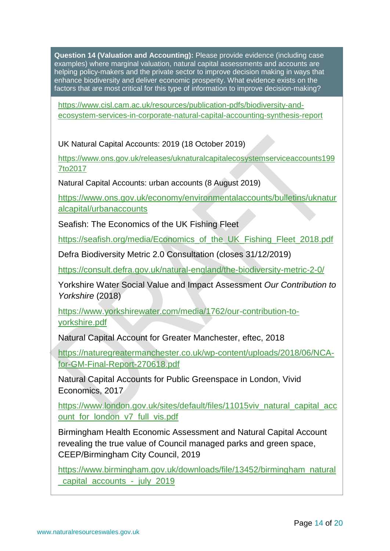**Question 14 (Valuation and Accounting):** Please provide evidence (including case examples) where marginal valuation, natural capital assessments and accounts are helping policy-makers and the private sector to improve decision making in ways that enhance biodiversity and deliver economic prosperity. What evidence exists on the factors that are most critical for this type of information to improve decision-making?

[https://www.cisl.cam.ac.uk/resources/publication-pdfs/biodiversity-and](https://www.cisl.cam.ac.uk/resources/publication-pdfs/biodiversity-and-ecosystem-services-in-corporate-natural-capital-accounting-synthesis-report)[ecosystem-services-in-corporate-natural-capital-accounting-synthesis-report](https://www.cisl.cam.ac.uk/resources/publication-pdfs/biodiversity-and-ecosystem-services-in-corporate-natural-capital-accounting-synthesis-report)

UK Natural Capital Accounts: 2019 (18 October 2019)

[https://www.ons.gov.uk/releases/uknaturalcapitalecosystemserviceaccounts199](https://www.ons.gov.uk/releases/uknaturalcapitalecosystemserviceaccounts1997to2017) [7to2017](https://www.ons.gov.uk/releases/uknaturalcapitalecosystemserviceaccounts1997to2017)

Natural Capital Accounts: urban accounts (8 August 2019)

[https://www.ons.gov.uk/economy/environmentalaccounts/bulletins/uknatur](https://www.ons.gov.uk/economy/environmentalaccounts/bulletins/uknaturalcapital/urbanaccounts) [alcapital/urbanaccounts](https://www.ons.gov.uk/economy/environmentalaccounts/bulletins/uknaturalcapital/urbanaccounts)

Seafish: The Economics of the UK Fishing Fleet

[https://seafish.org/media/Economics\\_of\\_the\\_UK\\_Fishing\\_Fleet\\_2018.pdf](https://seafish.org/media/Economics_of_the_UK_Fishing_Fleet_2018.pdf)

Defra Biodiversity Metric 2.0 Consultation (closes 31/12/2019)

<https://consult.defra.gov.uk/natural-england/the-biodiversity-metric-2-0/>

Yorkshire Water Social Value and Impact Assessment *Our Contribution to Yorkshire* (2018)

[https://www.yorkshirewater.com/media/1762/our-contribution-to](https://www.yorkshirewater.com/media/1762/our-contribution-to-yorkshire.pdf)[yorkshire.pdf](https://www.yorkshirewater.com/media/1762/our-contribution-to-yorkshire.pdf)

Natural Capital Account for Greater Manchester, eftec, 2018

[https://naturegreatermanchester.co.uk/wp-content/uploads/2018/06/NCA](https://naturegreatermanchester.co.uk/wp-content/uploads/2018/06/NCA-for-GM-Final-Report-270618.pdf)[for-GM-Final-Report-270618.pdf](https://naturegreatermanchester.co.uk/wp-content/uploads/2018/06/NCA-for-GM-Final-Report-270618.pdf)

Natural Capital Accounts for Public Greenspace in London, Vivid Economics, 2017

[https://www.london.gov.uk/sites/default/files/11015viv\\_natural\\_capital\\_acc](https://www.london.gov.uk/sites/default/files/11015viv_natural_capital_account_for_london_v7_full_vis.pdf) [ount\\_for\\_london\\_v7\\_full\\_vis.pdf](https://www.london.gov.uk/sites/default/files/11015viv_natural_capital_account_for_london_v7_full_vis.pdf)

Birmingham Health Economic Assessment and Natural Capital Account revealing the true value of Council managed parks and green space, CEEP/Birmingham City Council, 2019

[https://www.birmingham.gov.uk/downloads/file/13452/birmingham\\_natural](https://www.birmingham.gov.uk/downloads/file/13452/birmingham_natural_capital_accounts_-_july_2019) [\\_capital\\_accounts\\_-\\_july\\_2019](https://www.birmingham.gov.uk/downloads/file/13452/birmingham_natural_capital_accounts_-_july_2019)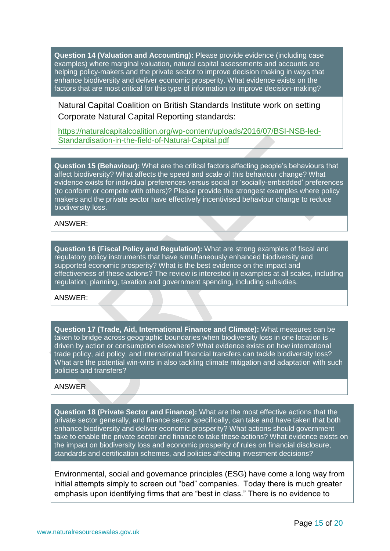**Question 14 (Valuation and Accounting):** Please provide evidence (including case examples) where marginal valuation, natural capital assessments and accounts are helping policy-makers and the private sector to improve decision making in ways that enhance biodiversity and deliver economic prosperity. What evidence exists on the factors that are most critical for this type of information to improve decision-making?

Natural Capital Coalition on British Standards Institute work on setting Corporate Natural Capital Reporting standards:

[https://naturalcapitalcoalition.org/wp-content/uploads/2016/07/BSI-NSB-led-](https://naturalcapitalcoalition.org/wp-content/uploads/2016/07/BSI-NSB-led-Standardisation-in-the-field-of-Natural-Capital.pdf)[Standardisation-in-the-field-of-Natural-Capital.pdf](https://naturalcapitalcoalition.org/wp-content/uploads/2016/07/BSI-NSB-led-Standardisation-in-the-field-of-Natural-Capital.pdf)

**Question 15 (Behaviour):** What are the critical factors affecting people's behaviours that affect biodiversity? What affects the speed and scale of this behaviour change? What evidence exists for individual preferences versus social or 'socially-embedded' preferences (to conform or compete with others)? Please provide the strongest examples where policy makers and the private sector have effectively incentivised behaviour change to reduce biodiversity loss.

ANSWER:

**Question 16 (Fiscal Policy and Regulation):** What are strong examples of fiscal and regulatory policy instruments that have simultaneously enhanced biodiversity and supported economic prosperity? What is the best evidence on the impact and effectiveness of these actions? The review is interested in examples at all scales, including regulation, planning, taxation and government spending, including subsidies.

ANSWER:

**Question 17 (Trade, Aid, International Finance and Climate):** What measures can be taken to bridge across geographic boundaries when biodiversity loss in one location is driven by action or consumption elsewhere? What evidence exists on how international trade policy, aid policy, and international financial transfers can tackle biodiversity loss? What are the potential win-wins in also tackling climate mitigation and adaptation with such policies and transfers?

#### ANSWER

**Question 18 (Private Sector and Finance):** What are the most effective actions that the private sector generally, and finance sector specifically, can take and have taken that both enhance biodiversity and deliver economic prosperity? What actions should government take to enable the private sector and finance to take these actions? What evidence exists on the impact on biodiversity loss and economic prosperity of rules on financial disclosure, standards and certification schemes, and policies affecting investment decisions?

Environmental, social and governance principles (ESG) have come a long way from initial attempts simply to screen out "bad" companies. Today there is much greater emphasis upon identifying firms that are "best in class." There is no evidence to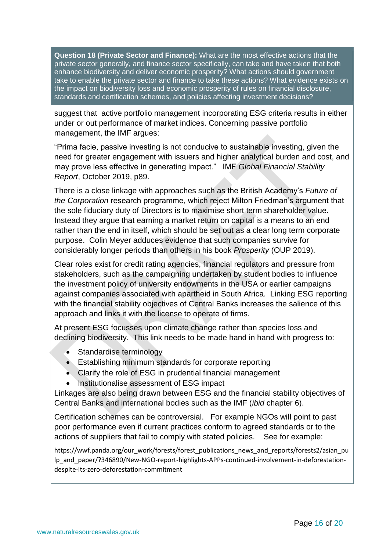**Question 18 (Private Sector and Finance):** What are the most effective actions that the private sector generally, and finance sector specifically, can take and have taken that both enhance biodiversity and deliver economic prosperity? What actions should government take to enable the private sector and finance to take these actions? What evidence exists on the impact on biodiversity loss and economic prosperity of rules on financial disclosure, standards and certification schemes, and policies affecting investment decisions?

suggest that active portfolio management incorporating ESG criteria results in either under or out performance of market indices. Concerning passive portfolio management, the IMF argues:

"Prima facie, passive investing is not conducive to sustainable investing, given the need for greater engagement with issuers and higher analytical burden and cost, and may prove less effective in generating impact." IMF *Global Financial Stability Report*, October 2019, p89.

There is a close linkage with approaches such as the British Academy's *Future of the Corporation* research programme, which reject Milton Friedman's argument that the sole fiduciary duty of Directors is to maximise short term shareholder value. Instead they argue that earning a market return on capital is a means to an end rather than the end in itself, which should be set out as a clear long term corporate purpose. Colin Meyer adduces evidence that such companies survive for considerably longer periods than others in his book *Prosperity* (OUP 2019).

Clear roles exist for credit rating agencies, financial regulators and pressure from stakeholders, such as the campaigning undertaken by student bodies to influence the investment policy of university endowments in the USA or earlier campaigns against companies associated with apartheid in South Africa. Linking ESG reporting with the financial stability objectives of Central Banks increases the salience of this approach and links it with the license to operate of firms.

At present ESG focusses upon climate change rather than species loss and declining biodiversity. This link needs to be made hand in hand with progress to:

- Standardise terminology
- Establishing minimum standards for corporate reporting
- Clarify the role of ESG in prudential financial management
- Institutionalise assessment of ESG impact

Linkages are also being drawn between ESG and the financial stability objectives of Central Banks and international bodies such as the IMF (*ibid* chapter 6).

Certification schemes can be controversial. For example NGOs will point to past poor performance even if current practices conform to agreed standards or to the actions of suppliers that fail to comply with stated policies. See for example:

https://wwf.panda.org/our\_work/forests/forest\_publications\_news\_and\_reports/forests2/asian\_pu lp\_and\_paper/?346890/New-NGO-report-highlights-APPs-continued-involvement-in-deforestationdespite-its-zero-deforestation-commitment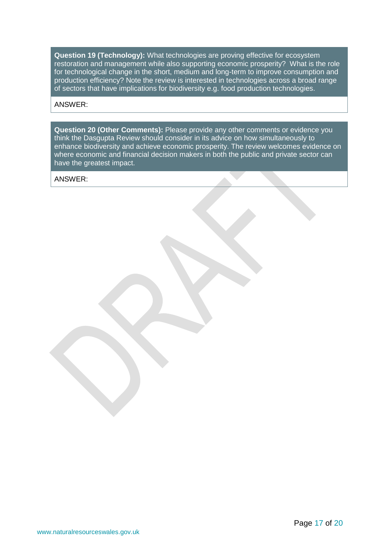**Question 19 (Technology):** What technologies are proving effective for ecosystem restoration and management while also supporting economic prosperity? What is the role for technological change in the short, medium and long-term to improve consumption and production efficiency? Note the review is interested in technologies across a broad range of sectors that have implications for biodiversity e.g. food production technologies.

#### ANSWER:

**Question 20 (Other Comments):** Please provide any other comments or evidence you think the Dasgupta Review should consider in its advice on how simultaneously to enhance biodiversity and achieve economic prosperity. The review welcomes evidence on where economic and financial decision makers in both the public and private sector can have the greatest impact.

ANSWER: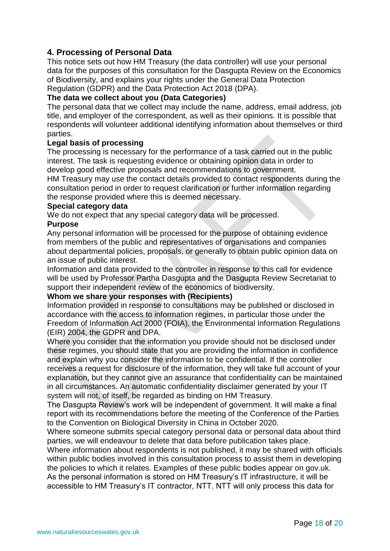# **4. Processing of Personal Data**

This notice sets out how HM Treasury (the data controller) will use your personal data for the purposes of this consultation for the Dasgupta Review on the Economics of Biodiversity, and explains your rights under the General Data Protection Regulation (GDPR) and the Data Protection Act 2018 (DPA).

### **The data we collect about you (Data Categories)**

The personal data that we collect may include the name, address, email address, job title, and employer of the correspondent, as well as their opinions. It is possible that respondents will volunteer additional identifying information about themselves or third parties.

#### **Legal basis of processing**

The processing is necessary for the performance of a task carried out in the public interest. The task is requesting evidence or obtaining opinion data in order to develop good effective proposals and recommendations to government. HM Treasury may use the contact details provided to contact respondents during the consultation period in order to request clarification or further information regarding the response provided where this is deemed necessary.

### **Special category data**

We do not expect that any special category data will be processed.

#### **Purpose**

Any personal information will be processed for the purpose of obtaining evidence from members of the public and representatives of organisations and companies about departmental policies, proposals, or generally to obtain public opinion data on an issue of public interest.

Information and data provided to the controller in response to this call for evidence will be used by Professor Partha Dasgupta and the Dasgupta Review Secretariat to support their independent review of the economics of biodiversity.

#### **Whom we share your responses with (Recipients)**

Information provided in response to consultations may be published or disclosed in accordance with the access to information regimes, in particular those under the Freedom of Information Act 2000 (FOIA), the Environmental Information Regulations (EIR) 2004, the GDPR and DPA.

Where you consider that the information you provide should not be disclosed under these regimes, you should state that you are providing the information in confidence and explain why you consider the information to be confidential. If the controller receives a request for disclosure of the information, they will take full account of your explanation, but they cannot give an assurance that confidentiality can be maintained in all circumstances. An automatic confidentiality disclaimer generated by your IT system will not, of itself, be regarded as binding on HM Treasury.

The Dasgupta Review's work will be independent of government. It will make a final report with its recommendations before the meeting of the Conference of the Parties to the Convention on Biological Diversity in China in October 2020.

Where someone submits special category personal data or personal data about third parties, we will endeavour to delete that data before publication takes place.

Where information about respondents is not published, it may be shared with officials within public bodies involved in this consultation process to assist them in developing the policies to which it relates. Examples of these public bodies appear on gov.uk. As the personal information is stored on HM Treasury's IT infrastructure, it will be accessible to HM Treasury's IT contractor, NTT. NTT will only process this data for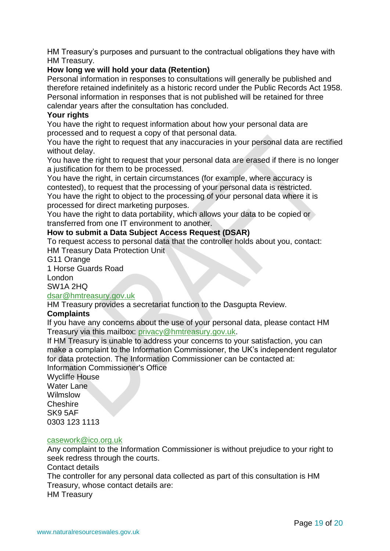HM Treasury's purposes and pursuant to the contractual obligations they have with HM Treasury.

# **How long we will hold your data (Retention)**

Personal information in responses to consultations will generally be published and therefore retained indefinitely as a historic record under the Public Records Act 1958. Personal information in responses that is not published will be retained for three calendar years after the consultation has concluded.

### **Your rights**

You have the right to request information about how your personal data are processed and to request a copy of that personal data.

You have the right to request that any inaccuracies in your personal data are rectified without delay.

You have the right to request that your personal data are erased if there is no longer a justification for them to be processed.

You have the right, in certain circumstances (for example, where accuracy is contested), to request that the processing of your personal data is restricted.

You have the right to object to the processing of your personal data where it is processed for direct marketing purposes.

You have the right to data portability, which allows your data to be copied or transferred from one IT environment to another.

# **How to submit a Data Subject Access Request (DSAR)**

To request access to personal data that the controller holds about you, contact: HM Treasury Data Protection Unit

G11 Orange

1 Horse Guards Road

London

SW1A 2HQ

#### [dsar@hmtreasury.gov.uk](mailto:dsar@hmtreasury.gov.uk)

HM Treasury provides a secretariat function to the Dasgupta Review.

# **Complaints**

If you have any concerns about the use of your personal data, please contact HM Treasury via this mailbox: [privacy@hmtreasury.gov.uk.](mailto:privacy@hmtreasury.gov.uk)

If HM Treasury is unable to address your concerns to your satisfaction, you can make a complaint to the Information Commissioner, the UK's independent regulator for data protection. The Information Commissioner can be contacted at: Information Commissioner's Office

Wycliffe House Water Lane Wilmslow **Cheshire** SK9 5AF 0303 123 1113

#### [casework@ico.org.uk](mailto:casework@ico.org.uk)

Any complaint to the Information Commissioner is without prejudice to your right to seek redress through the courts.

Contact details

The controller for any personal data collected as part of this consultation is HM Treasury, whose contact details are:

HM Treasury